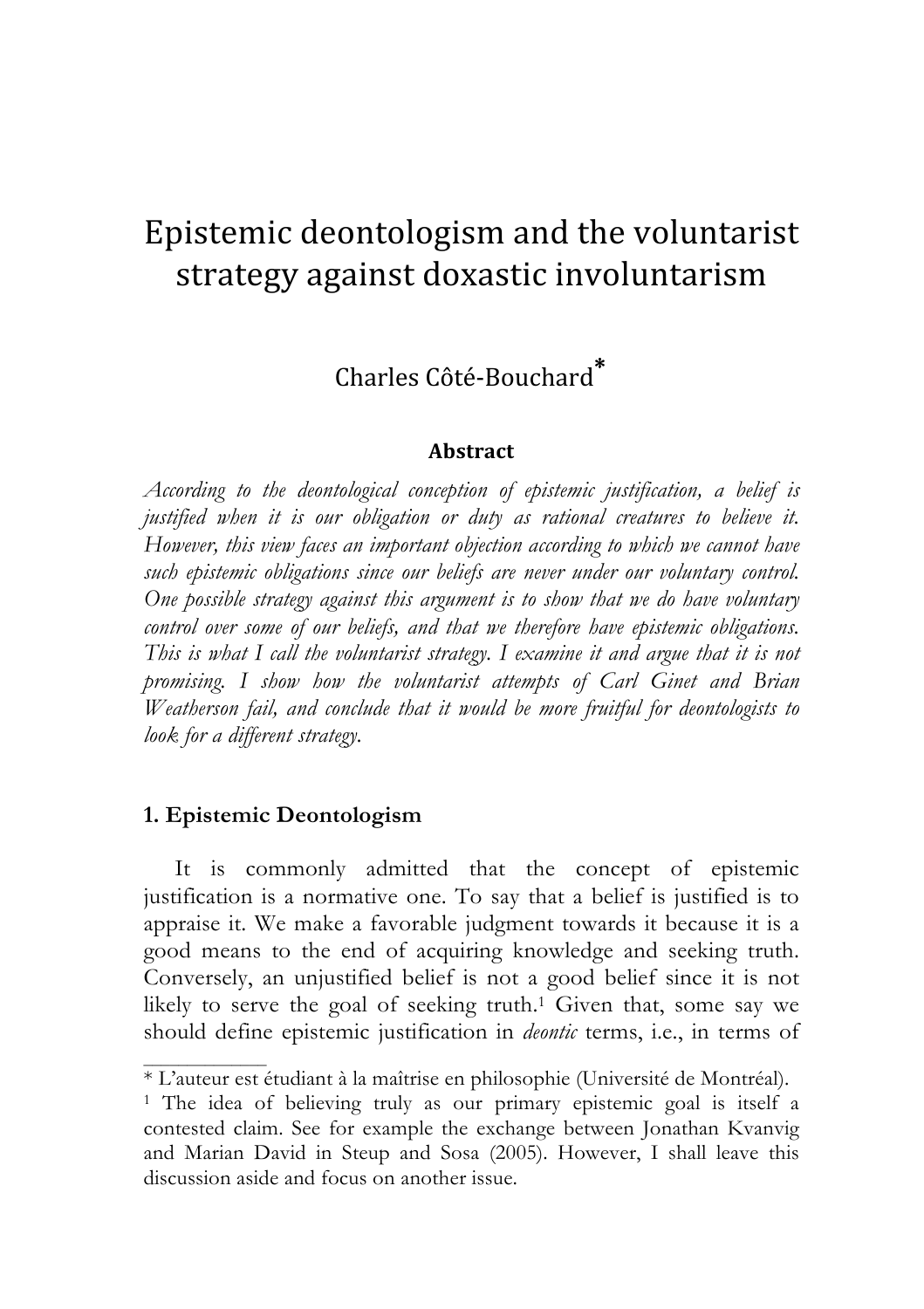# Epistemic
deontologism
and
the
voluntarist strategy
against
doxastic
involuntarism

Charles
Côté‐Bouchard<sup>∗</sup>

#### **Abstract**

*According to the deontological conception of epistemic justification, a belief is justified when it is our obligation or duty as rational creatures to believe it. However, this view faces an important objection according to which we cannot have such epistemic obligations since our beliefs are never under our voluntary control. One possible strategy against this argument is to show that we do have voluntary control over some of our beliefs, and that we therefore have epistemic obligations. This is what I call the voluntarist strategy. I examine it and argue that it is not promising. I show how the voluntarist attempts of Carl Ginet and Brian Weatherson fail, and conclude that it would be more fruitful for deontologists to look for a different strategy.*

#### **1. Epistemic Deontologism**

It is commonly admitted that the concept of epistemic justification is a normative one. To say that a belief is justified is to appraise it. We make a favorable judgment towards it because it is a good means to the end of acquiring knowledge and seeking truth. Conversely, an unjustified belief is not a good belief since it is not likely to serve the goal of seeking truth.<sup>1</sup> Given that, some say we should define epistemic justification in *deontic* terms, i.e., in terms of

<sup>\*</sup> L'auteur est étudiant à la maîtrise en philosophie (Université de Montréal).

<sup>&</sup>lt;sup>1</sup> The idea of believing truly as our primary epistemic goal is itself a contested claim. See for example the exchange between Jonathan Kvanvig and Marian David in Steup and Sosa (2005). However, I shall leave this discussion aside and focus on another issue.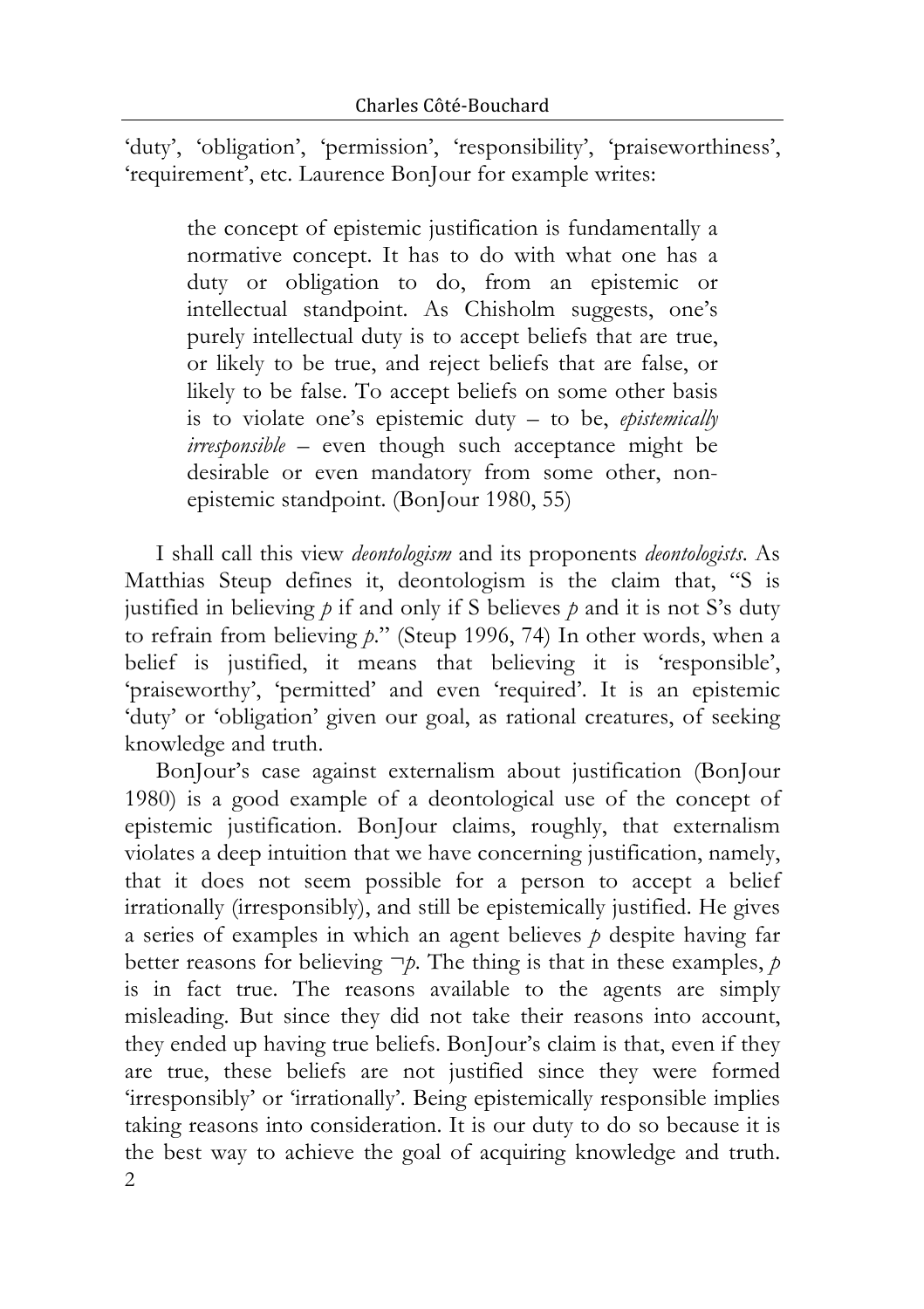'duty', 'obligation', 'permission', 'responsibility', 'praiseworthiness', 'requirement', etc. Laurence BonJour for example writes:

the concept of epistemic justification is fundamentally a normative concept. It has to do with what one has a duty or obligation to do, from an epistemic or intellectual standpoint. As Chisholm suggests, one's purely intellectual duty is to accept beliefs that are true, or likely to be true, and reject beliefs that are false, or likely to be false. To accept beliefs on some other basis is to violate one's epistemic duty – to be, *epistemically irresponsible* – even though such acceptance might be desirable or even mandatory from some other, nonepistemic standpoint. (BonJour 1980, 55)

I shall call this view *deontologism* and its proponents *deontologists*. As Matthias Steup defines it, deontologism is the claim that, "S is justified in believing  $p$  if and only if S believes  $p$  and it is not S's duty to refrain from believing *p*." (Steup 1996, 74) In other words, when a belief is justified, it means that believing it is 'responsible', 'praiseworthy', 'permitted' and even 'required'. It is an epistemic 'duty' or 'obligation' given our goal, as rational creatures, of seeking knowledge and truth.

2 BonJour's case against externalism about justification (BonJour 1980) is a good example of a deontological use of the concept of epistemic justification. BonJour claims, roughly, that externalism violates a deep intuition that we have concerning justification, namely, that it does not seem possible for a person to accept a belief irrationally (irresponsibly), and still be epistemically justified. He gives a series of examples in which an agent believes *p* despite having far better reasons for believing  $\neg p$ . The thing is that in these examples, *p* is in fact true. The reasons available to the agents are simply misleading. But since they did not take their reasons into account, they ended up having true beliefs. BonJour's claim is that, even if they are true, these beliefs are not justified since they were formed 'irresponsibly' or 'irrationally'. Being epistemically responsible implies taking reasons into consideration. It is our duty to do so because it is the best way to achieve the goal of acquiring knowledge and truth.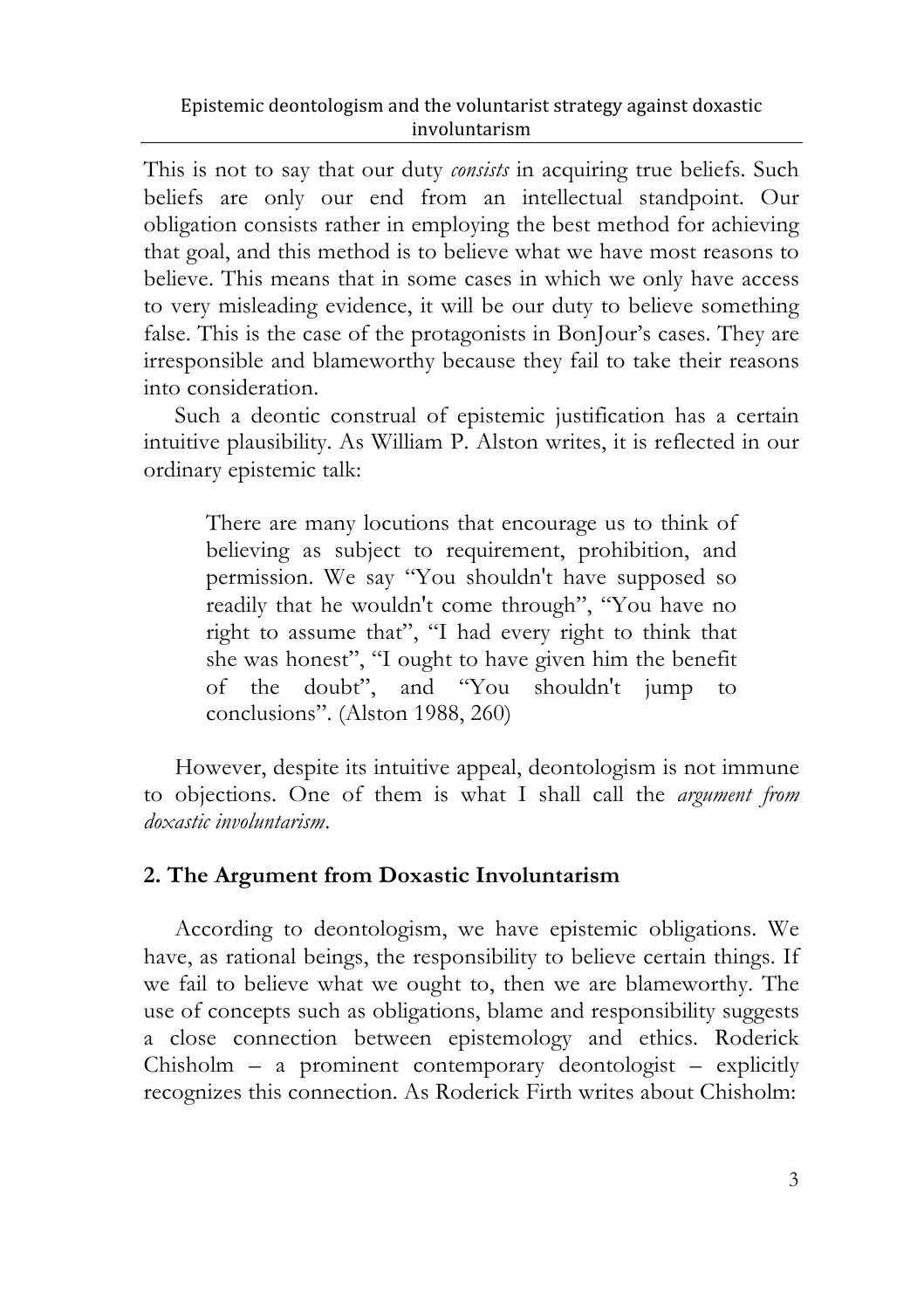This is not to say that our duty *consists* in acquiring true beliefs. Such beliefs are only our end from an intellectual standpoint. Our obligation consists rather in employing the best method for achieving that goal, and this method is to believe what we have most reasons to believe. This means that in some cases in which we only have access to very misleading evidence, it will be our duty to believe something false. This is the case of the protagonists in BonJour's cases. They are irresponsible and blameworthy because they fail to take their reasons into consideration.

Such a deontic construal of epistemic justification has a certain intuitive plausibility. As William P. Alston writes, it is reflected in our ordinary epistemic talk:

There are many locutions that encourage us to think of believing as subject to requirement, prohibition, and permission. We say "You shouldn't have supposed so readily that he wouldn't come through", "You have no right to assume that", "I had every right to think that she was honest", "I ought to have given him the benefit of the doubt", and "You shouldn't jump to conclusions". (Alston 1988, 260)

However, despite its intuitive appeal, deontologism is not immune to objections. One of them is what I shall call the *argument from doxastic involuntarism*.

# **2. The Argument from Doxastic Involuntarism**

According to deontologism, we have epistemic obligations. We have, as rational beings, the responsibility to believe certain things. If we fail to believe what we ought to, then we are blameworthy. The use of concepts such as obligations, blame and responsibility suggests a close connection between epistemology and ethics. Roderick Chisholm – a prominent contemporary deontologist – explicitly recognizes this connection. As Roderick Firth writes about Chisholm: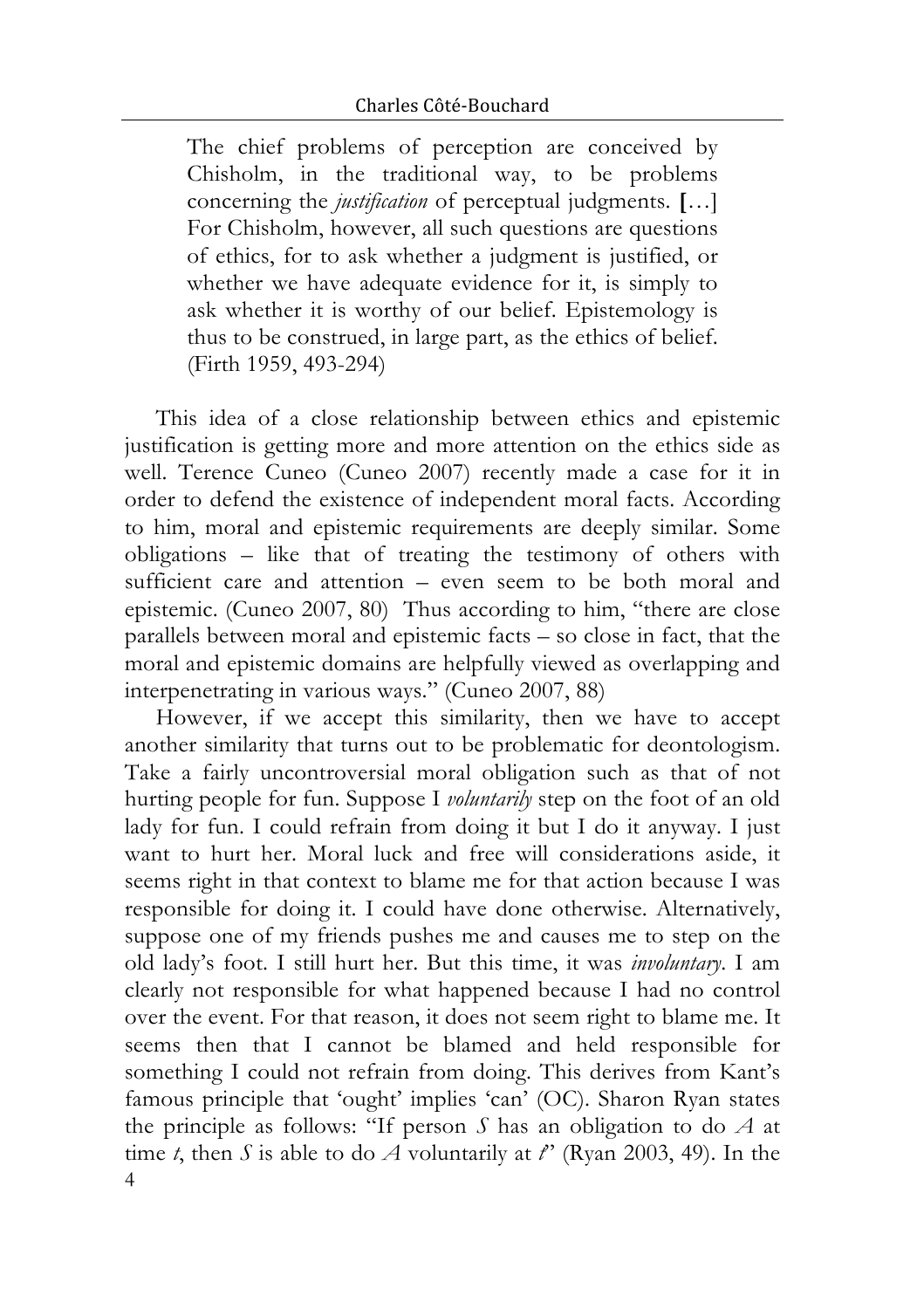The chief problems of perception are conceived by Chisholm, in the traditional way, to be problems concerning the *justification* of perceptual judgments. **[**…] For Chisholm, however, all such questions are questions of ethics, for to ask whether a judgment is justified, or whether we have adequate evidence for it, is simply to ask whether it is worthy of our belief. Epistemology is thus to be construed, in large part, as the ethics of belief. (Firth 1959, 493-294)

This idea of a close relationship between ethics and epistemic justification is getting more and more attention on the ethics side as well. Terence Cuneo (Cuneo 2007) recently made a case for it in order to defend the existence of independent moral facts. According to him, moral and epistemic requirements are deeply similar. Some obligations – like that of treating the testimony of others with sufficient care and attention – even seem to be both moral and epistemic. (Cuneo 2007, 80) Thus according to him, "there are close parallels between moral and epistemic facts – so close in fact, that the moral and epistemic domains are helpfully viewed as overlapping and interpenetrating in various ways." (Cuneo 2007, 88)

4 However, if we accept this similarity, then we have to accept another similarity that turns out to be problematic for deontologism. Take a fairly uncontroversial moral obligation such as that of not hurting people for fun. Suppose I *voluntarily* step on the foot of an old lady for fun. I could refrain from doing it but I do it anyway. I just want to hurt her. Moral luck and free will considerations aside, it seems right in that context to blame me for that action because I was responsible for doing it. I could have done otherwise. Alternatively, suppose one of my friends pushes me and causes me to step on the old lady's foot. I still hurt her. But this time, it was *involuntary*. I am clearly not responsible for what happened because I had no control over the event. For that reason, it does not seem right to blame me. It seems then that I cannot be blamed and held responsible for something I could not refrain from doing. This derives from Kant's famous principle that 'ought' implies 'can' (OC). Sharon Ryan states the principle as follows: "If person *S* has an obligation to do *A* at time *t*, then *S* is able to do *A* voluntarily at  $t^{\prime}$  (Ryan 2003, 49). In the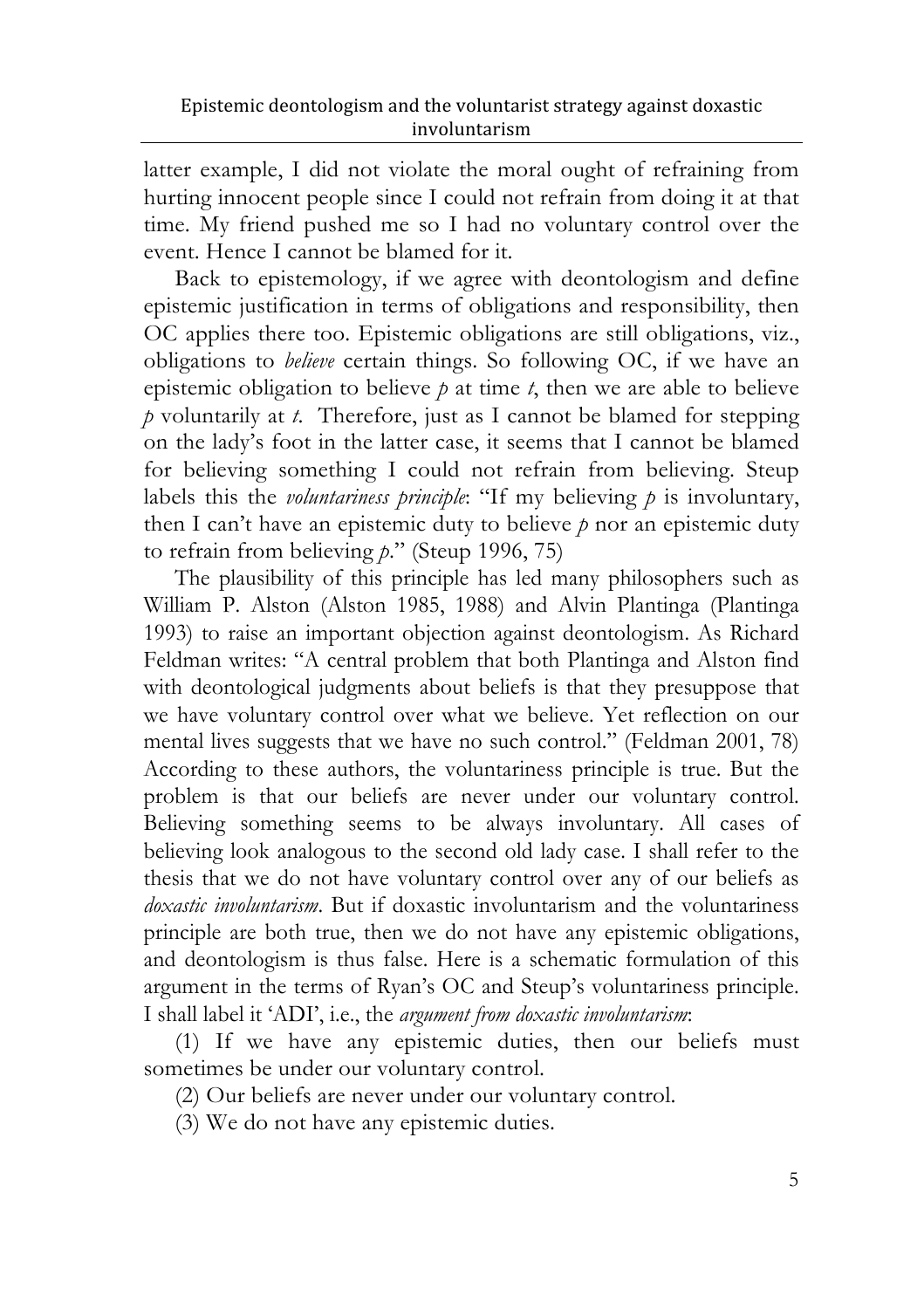latter example, I did not violate the moral ought of refraining from hurting innocent people since I could not refrain from doing it at that time. My friend pushed me so I had no voluntary control over the event. Hence I cannot be blamed for it.

Back to epistemology, if we agree with deontologism and define epistemic justification in terms of obligations and responsibility, then OC applies there too. Epistemic obligations are still obligations, viz., obligations to *believe* certain things. So following OC, if we have an epistemic obligation to believe *p* at time *t*, then we are able to believe *p* voluntarily at *t*. Therefore, just as I cannot be blamed for stepping on the lady's foot in the latter case, it seems that I cannot be blamed for believing something I could not refrain from believing. Steup labels this the *voluntariness principle*: "If my believing *p* is involuntary, then I can't have an epistemic duty to believe *p* nor an epistemic duty to refrain from believing *p*." (Steup 1996, 75)

The plausibility of this principle has led many philosophers such as William P. Alston (Alston 1985, 1988) and Alvin Plantinga (Plantinga 1993) to raise an important objection against deontologism. As Richard Feldman writes: "A central problem that both Plantinga and Alston find with deontological judgments about beliefs is that they presuppose that we have voluntary control over what we believe. Yet reflection on our mental lives suggests that we have no such control." (Feldman 2001, 78) According to these authors, the voluntariness principle is true. But the problem is that our beliefs are never under our voluntary control. Believing something seems to be always involuntary. All cases of believing look analogous to the second old lady case. I shall refer to the thesis that we do not have voluntary control over any of our beliefs as *doxastic involuntarism*. But if doxastic involuntarism and the voluntariness principle are both true, then we do not have any epistemic obligations, and deontologism is thus false. Here is a schematic formulation of this argument in the terms of Ryan's OC and Steup's voluntariness principle. I shall label it 'ADI', i.e., the *argument from doxastic involuntarism*:

(1) If we have any epistemic duties, then our beliefs must sometimes be under our voluntary control.

(2) Our beliefs are never under our voluntary control.

(3) We do not have any epistemic duties.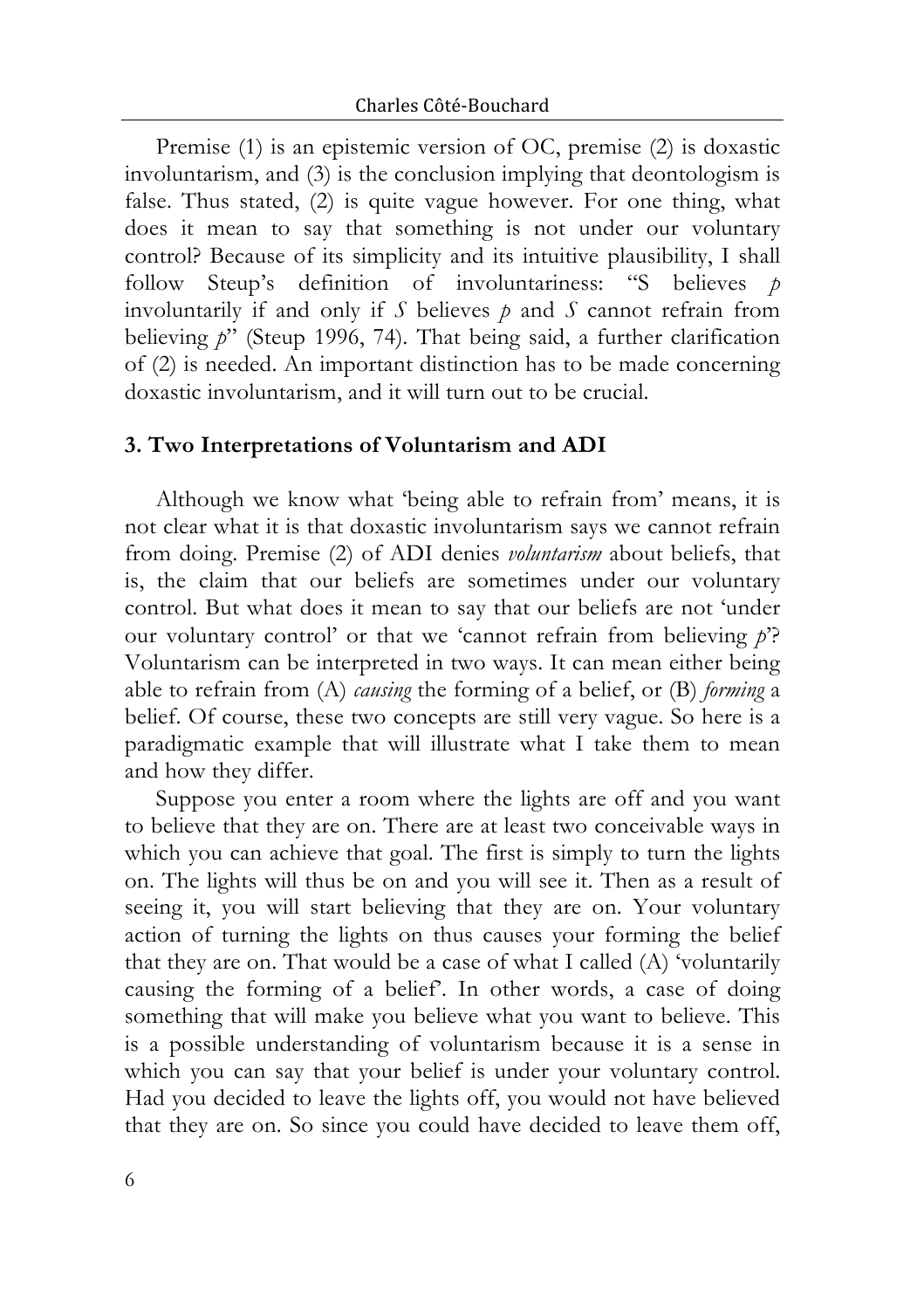Premise (1) is an epistemic version of OC, premise (2) is doxastic involuntarism, and (3) is the conclusion implying that deontologism is false. Thus stated, (2) is quite vague however. For one thing, what does it mean to say that something is not under our voluntary control? Because of its simplicity and its intuitive plausibility, I shall follow Steup's definition of involuntariness: "S believes *p* involuntarily if and only if *S* believes *p* and *S* cannot refrain from believing *p*" (Steup 1996, 74)*.* That being said, a further clarification of (2) is needed. An important distinction has to be made concerning doxastic involuntarism, and it will turn out to be crucial.

#### **3. Two Interpretations of Voluntarism and ADI**

Although we know what 'being able to refrain from' means, it is not clear what it is that doxastic involuntarism says we cannot refrain from doing. Premise (2) of ADI denies *voluntarism* about beliefs, that is, the claim that our beliefs are sometimes under our voluntary control. But what does it mean to say that our beliefs are not 'under our voluntary control' or that we 'cannot refrain from believing *p*'? Voluntarism can be interpreted in two ways. It can mean either being able to refrain from (A) *causing* the forming of a belief, or (B) *forming* a belief. Of course, these two concepts are still very vague. So here is a paradigmatic example that will illustrate what I take them to mean and how they differ.

Suppose you enter a room where the lights are off and you want to believe that they are on. There are at least two conceivable ways in which you can achieve that goal. The first is simply to turn the lights on. The lights will thus be on and you will see it. Then as a result of seeing it, you will start believing that they are on. Your voluntary action of turning the lights on thus causes your forming the belief that they are on. That would be a case of what I called (A) 'voluntarily causing the forming of a belief'. In other words, a case of doing something that will make you believe what you want to believe. This is a possible understanding of voluntarism because it is a sense in which you can say that your belief is under your voluntary control. Had you decided to leave the lights off, you would not have believed that they are on. So since you could have decided to leave them off,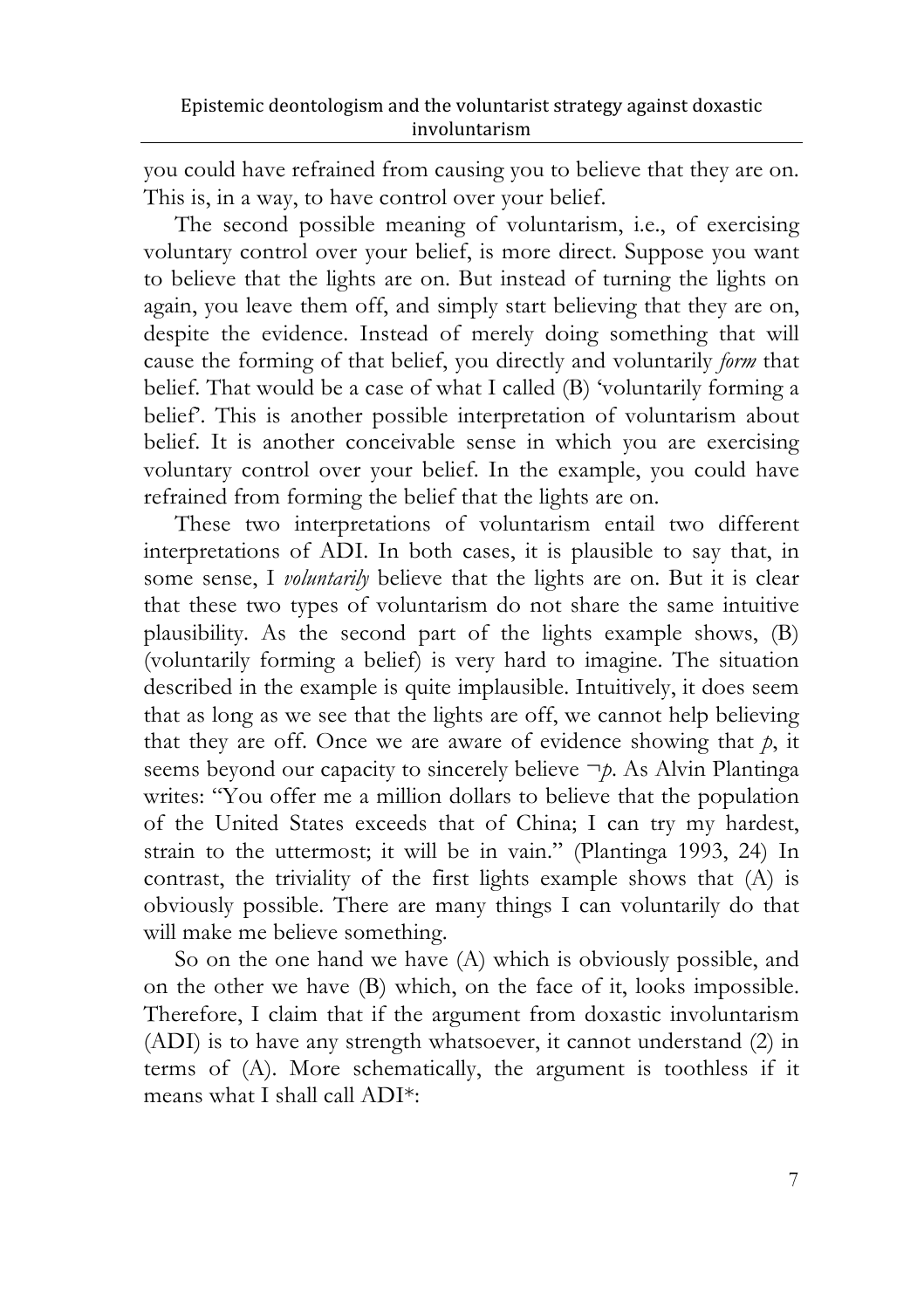you could have refrained from causing you to believe that they are on. This is, in a way, to have control over your belief.

The second possible meaning of voluntarism, i.e., of exercising voluntary control over your belief, is more direct. Suppose you want to believe that the lights are on. But instead of turning the lights on again, you leave them off, and simply start believing that they are on, despite the evidence. Instead of merely doing something that will cause the forming of that belief, you directly and voluntarily *form* that belief. That would be a case of what I called (B) 'voluntarily forming a belief'. This is another possible interpretation of voluntarism about belief. It is another conceivable sense in which you are exercising voluntary control over your belief. In the example, you could have refrained from forming the belief that the lights are on.

These two interpretations of voluntarism entail two different interpretations of ADI. In both cases, it is plausible to say that, in some sense, I *voluntarily* believe that the lights are on. But it is clear that these two types of voluntarism do not share the same intuitive plausibility. As the second part of the lights example shows, (B) (voluntarily forming a belief) is very hard to imagine. The situation described in the example is quite implausible. Intuitively, it does seem that as long as we see that the lights are off, we cannot help believing that they are off. Once we are aware of evidence showing that *p*, it seems beyond our capacity to sincerely believe ¬*p*. As Alvin Plantinga writes: "You offer me a million dollars to believe that the population of the United States exceeds that of China; I can try my hardest, strain to the uttermost; it will be in vain." (Plantinga 1993, 24) In contrast, the triviality of the first lights example shows that (A) is obviously possible. There are many things I can voluntarily do that will make me believe something.

So on the one hand we have (A) which is obviously possible, and on the other we have (B) which, on the face of it, looks impossible. Therefore, I claim that if the argument from doxastic involuntarism (ADI) is to have any strength whatsoever, it cannot understand (2) in terms of (A). More schematically, the argument is toothless if it means what I shall call ADI\*: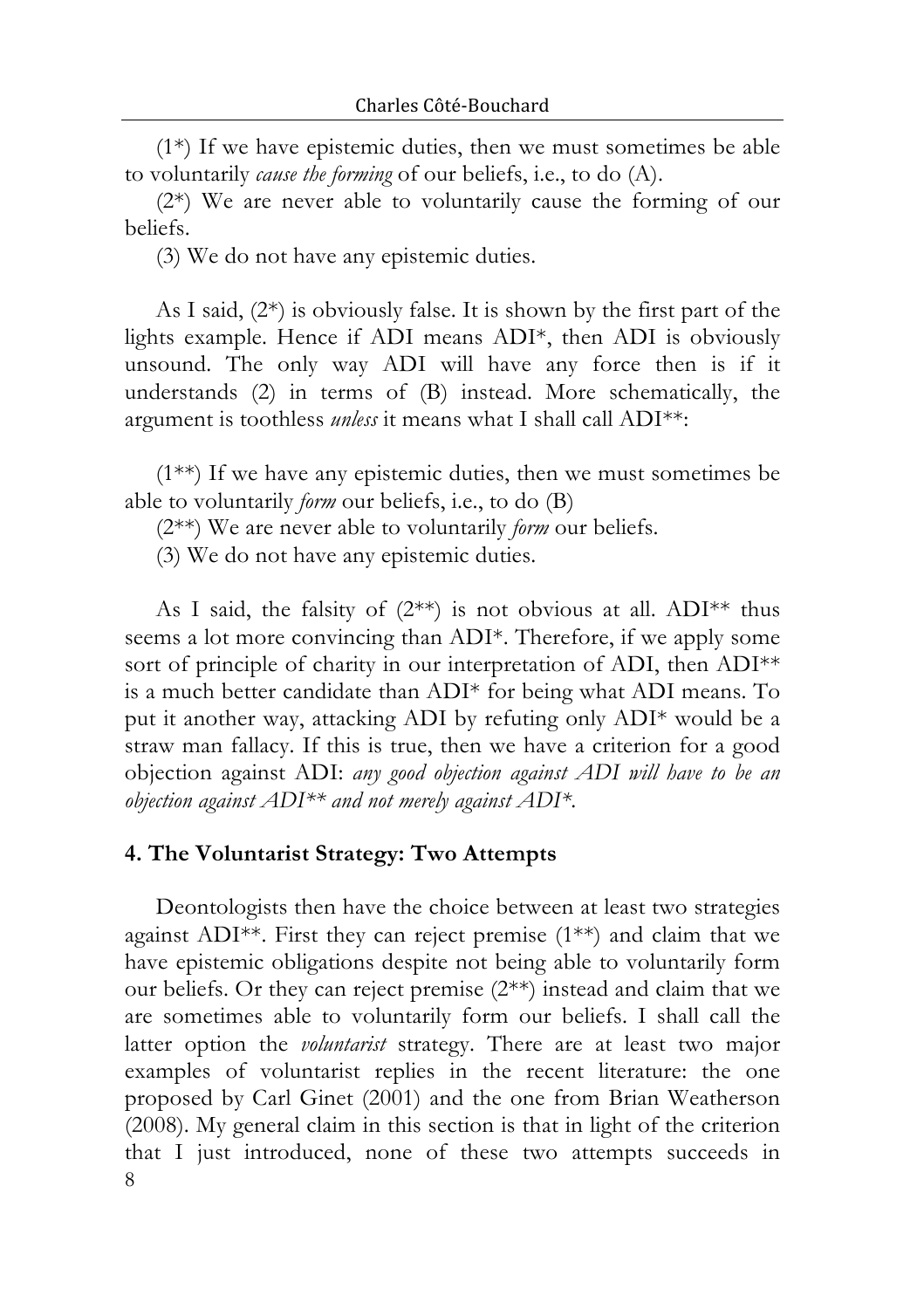(1\*) If we have epistemic duties, then we must sometimes be able to voluntarily *cause the forming* of our beliefs, i.e., to do (A).

(2\*) We are never able to voluntarily cause the forming of our beliefs.

(3) We do not have any epistemic duties.

As I said, (2\*) is obviously false. It is shown by the first part of the lights example. Hence if ADI means ADI\*, then ADI is obviously unsound. The only way ADI will have any force then is if it understands (2) in terms of (B) instead. More schematically, the argument is toothless *unless* it means what I shall call ADI\*\*:

(1\*\*) If we have any epistemic duties, then we must sometimes be able to voluntarily *form* our beliefs, i.e., to do (B)

(2\*\*) We are never able to voluntarily *form* our beliefs.

(3) We do not have any epistemic duties.

As I said, the falsity of  $(2^{**})$  is not obvious at all. ADI\*\* thus seems a lot more convincing than ADI\*. Therefore, if we apply some sort of principle of charity in our interpretation of ADI, then ADI<sup>\*\*</sup> is a much better candidate than ADI\* for being what ADI means. To put it another way, attacking ADI by refuting only ADI\* would be a straw man fallacy. If this is true, then we have a criterion for a good objection against ADI: *any good objection against ADI will have to be an objection against ADI\*\* and not merely against ADI\**.

### **4. The Voluntarist Strategy: Two Attempts**

8 Deontologists then have the choice between at least two strategies against ADI\*\*. First they can reject premise (1\*\*) and claim that we have epistemic obligations despite not being able to voluntarily form our beliefs. Or they can reject premise (2\*\*) instead and claim that we are sometimes able to voluntarily form our beliefs. I shall call the latter option the *voluntarist* strategy. There are at least two major examples of voluntarist replies in the recent literature: the one proposed by Carl Ginet (2001) and the one from Brian Weatherson (2008). My general claim in this section is that in light of the criterion that I just introduced, none of these two attempts succeeds in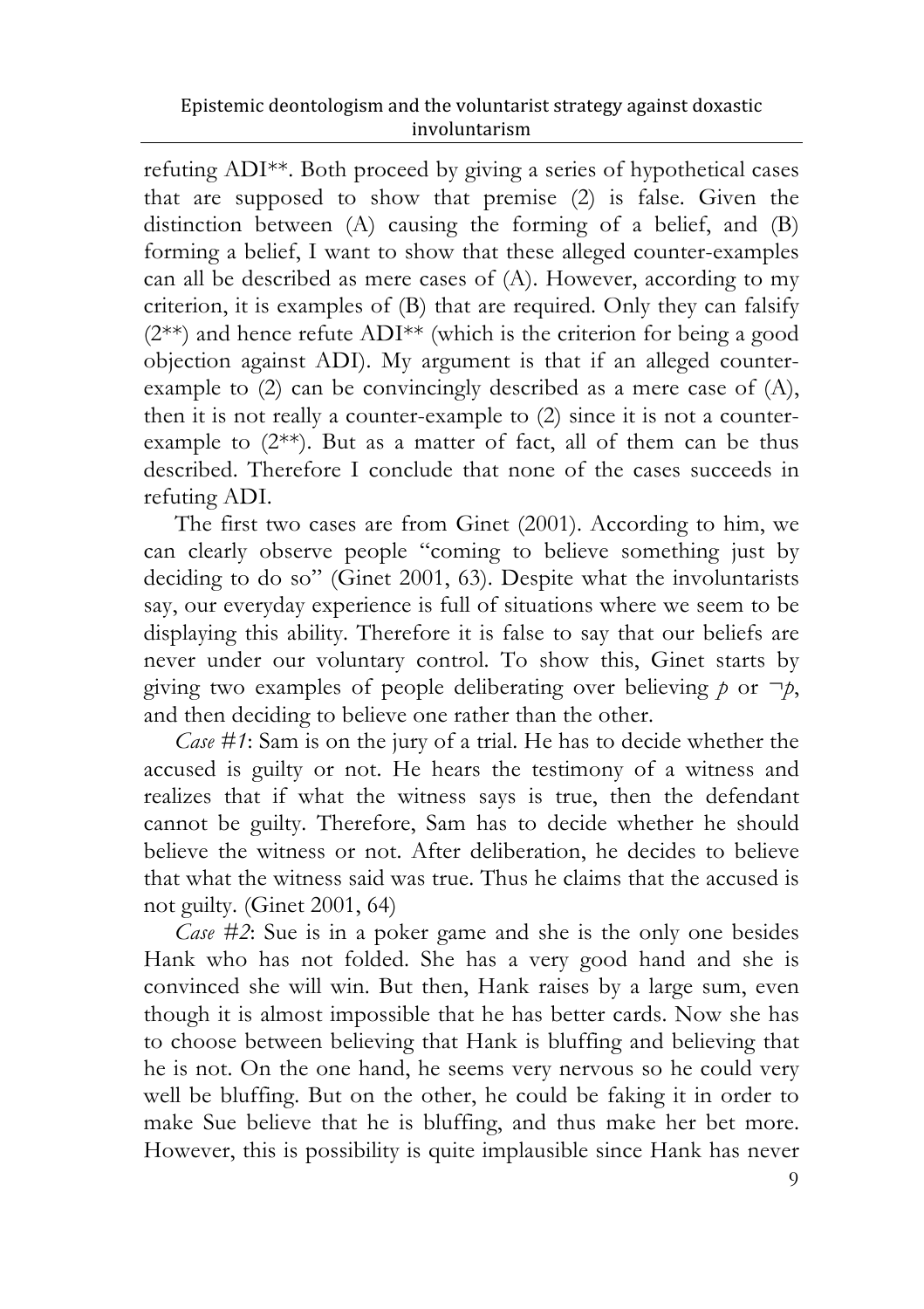refuting ADI\*\*. Both proceed by giving a series of hypothetical cases that are supposed to show that premise (2) is false. Given the distinction between (A) causing the forming of a belief, and (B) forming a belief, I want to show that these alleged counter-examples can all be described as mere cases of (A). However, according to my criterion, it is examples of (B) that are required. Only they can falsify (2\*\*) and hence refute ADI\*\* (which is the criterion for being a good objection against ADI). My argument is that if an alleged counterexample to (2) can be convincingly described as a mere case of (A), then it is not really a counter-example to (2) since it is not a counterexample to (2\*\*). But as a matter of fact, all of them can be thus described. Therefore I conclude that none of the cases succeeds in refuting ADI.

The first two cases are from Ginet (2001). According to him, we can clearly observe people "coming to believe something just by deciding to do so" (Ginet 2001, 63). Despite what the involuntarists say, our everyday experience is full of situations where we seem to be displaying this ability. Therefore it is false to say that our beliefs are never under our voluntary control. To show this, Ginet starts by giving two examples of people deliberating over believing  $p$  or  $\neg p$ , and then deciding to believe one rather than the other.

*Case #1*: Sam is on the jury of a trial. He has to decide whether the accused is guilty or not. He hears the testimony of a witness and realizes that if what the witness says is true, then the defendant cannot be guilty. Therefore, Sam has to decide whether he should believe the witness or not. After deliberation, he decides to believe that what the witness said was true. Thus he claims that the accused is not guilty. (Ginet 2001, 64)

*Case #2*: Sue is in a poker game and she is the only one besides Hank who has not folded. She has a very good hand and she is convinced she will win. But then, Hank raises by a large sum, even though it is almost impossible that he has better cards. Now she has to choose between believing that Hank is bluffing and believing that he is not. On the one hand, he seems very nervous so he could very well be bluffing. But on the other, he could be faking it in order to make Sue believe that he is bluffing, and thus make her bet more. However, this is possibility is quite implausible since Hank has never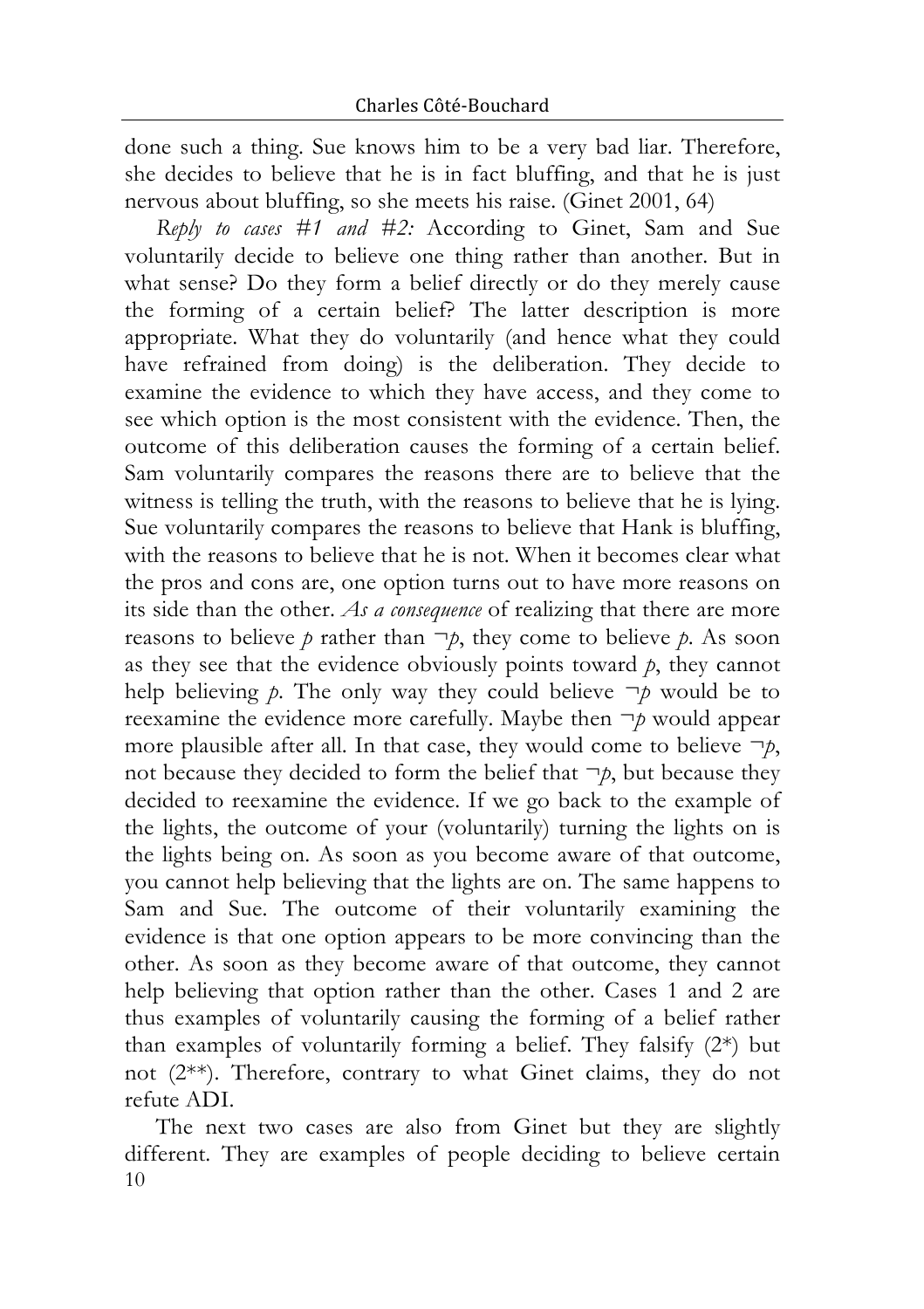done such a thing. Sue knows him to be a very bad liar. Therefore, she decides to believe that he is in fact bluffing, and that he is just nervous about bluffing, so she meets his raise. (Ginet 2001, 64)

*Reply to cases #1 and #2:* According to Ginet, Sam and Sue voluntarily decide to believe one thing rather than another. But in what sense? Do they form a belief directly or do they merely cause the forming of a certain belief? The latter description is more appropriate. What they do voluntarily (and hence what they could have refrained from doing) is the deliberation. They decide to examine the evidence to which they have access, and they come to see which option is the most consistent with the evidence. Then, the outcome of this deliberation causes the forming of a certain belief. Sam voluntarily compares the reasons there are to believe that the witness is telling the truth, with the reasons to believe that he is lying. Sue voluntarily compares the reasons to believe that Hank is bluffing, with the reasons to believe that he is not. When it becomes clear what the pros and cons are, one option turns out to have more reasons on its side than the other. *As a consequence* of realizing that there are more reasons to believe  $p$  rather than  $\neg p$ , they come to believe  $p$ . As soon as they see that the evidence obviously points toward *p*, they cannot help believing  $p$ . The only way they could believe  $\neg p$  would be to reexamine the evidence more carefully. Maybe then ¬*p* would appear more plausible after all. In that case, they would come to believe  $\neg p$ , not because they decided to form the belief that  $\neg p$ , but because they decided to reexamine the evidence. If we go back to the example of the lights, the outcome of your (voluntarily) turning the lights on is the lights being on. As soon as you become aware of that outcome, you cannot help believing that the lights are on. The same happens to Sam and Sue. The outcome of their voluntarily examining the evidence is that one option appears to be more convincing than the other. As soon as they become aware of that outcome, they cannot help believing that option rather than the other. Cases 1 and 2 are thus examples of voluntarily causing the forming of a belief rather than examples of voluntarily forming a belief. They falsify (2\*) but not (2\*\*). Therefore, contrary to what Ginet claims, they do not refute ADI.

10 The next two cases are also from Ginet but they are slightly different. They are examples of people deciding to believe certain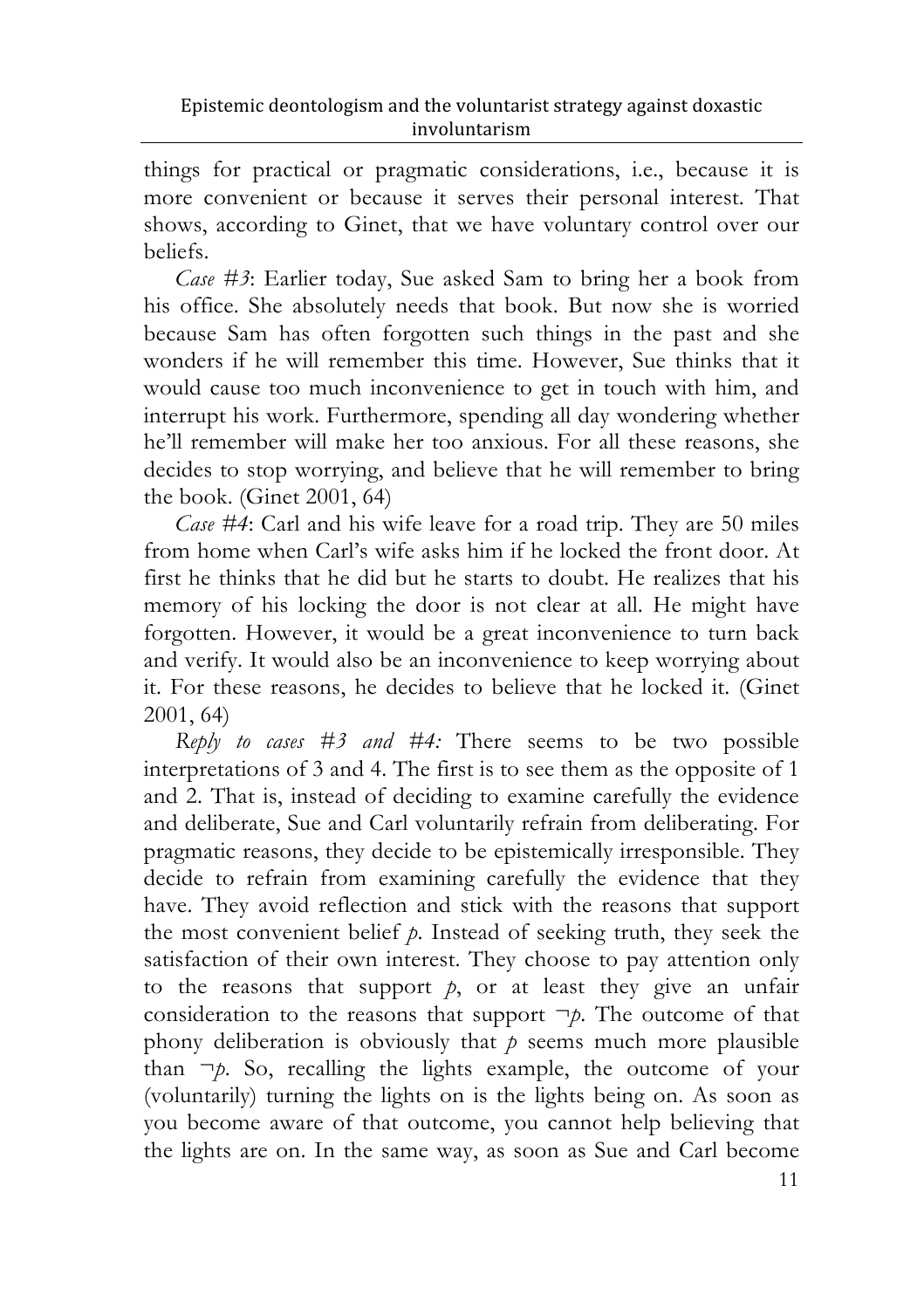things for practical or pragmatic considerations, i.e., because it is more convenient or because it serves their personal interest. That shows, according to Ginet, that we have voluntary control over our beliefs.

*Case #3*: Earlier today, Sue asked Sam to bring her a book from his office. She absolutely needs that book. But now she is worried because Sam has often forgotten such things in the past and she wonders if he will remember this time. However, Sue thinks that it would cause too much inconvenience to get in touch with him, and interrupt his work. Furthermore, spending all day wondering whether he'll remember will make her too anxious. For all these reasons, she decides to stop worrying, and believe that he will remember to bring the book. (Ginet 2001, 64)

*Case #4*: Carl and his wife leave for a road trip. They are 50 miles from home when Carl's wife asks him if he locked the front door. At first he thinks that he did but he starts to doubt. He realizes that his memory of his locking the door is not clear at all. He might have forgotten. However, it would be a great inconvenience to turn back and verify. It would also be an inconvenience to keep worrying about it. For these reasons, he decides to believe that he locked it. (Ginet 2001, 64)

*Reply to cases #3 and #4:* There seems to be two possible interpretations of 3 and 4. The first is to see them as the opposite of 1 and 2. That is, instead of deciding to examine carefully the evidence and deliberate, Sue and Carl voluntarily refrain from deliberating. For pragmatic reasons, they decide to be epistemically irresponsible. They decide to refrain from examining carefully the evidence that they have. They avoid reflection and stick with the reasons that support the most convenient belief *p*. Instead of seeking truth, they seek the satisfaction of their own interest. They choose to pay attention only to the reasons that support  $p$ , or at least they give an unfair consideration to the reasons that support  $\neg p$ . The outcome of that phony deliberation is obviously that  $p$  seems much more plausible than ¬*p*. So, recalling the lights example, the outcome of your (voluntarily) turning the lights on is the lights being on. As soon as you become aware of that outcome, you cannot help believing that the lights are on. In the same way, as soon as Sue and Carl become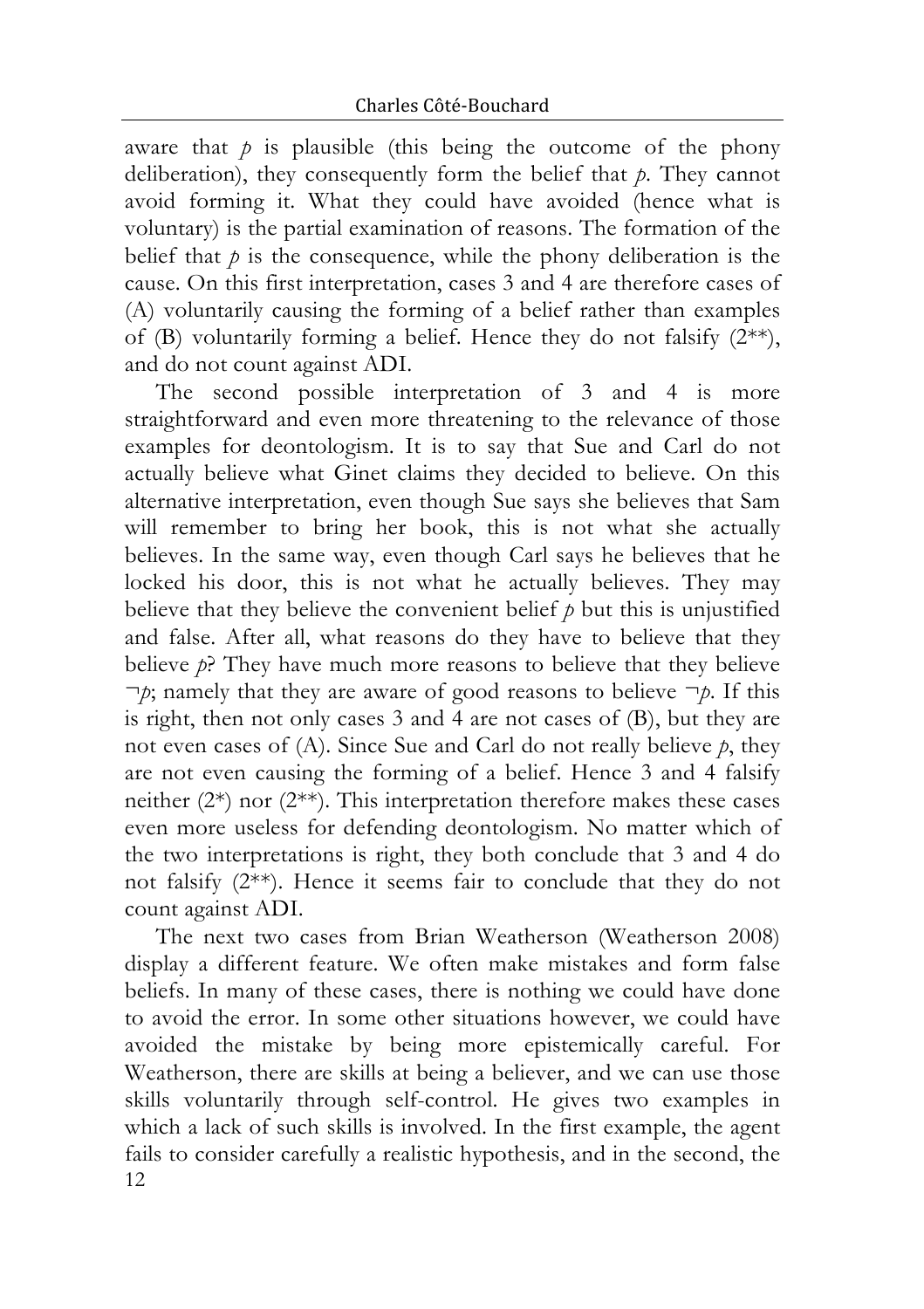aware that  $p$  is plausible (this being the outcome of the phony deliberation), they consequently form the belief that *p*. They cannot avoid forming it. What they could have avoided (hence what is voluntary) is the partial examination of reasons. The formation of the belief that  $p$  is the consequence, while the phony deliberation is the cause. On this first interpretation, cases 3 and 4 are therefore cases of (A) voluntarily causing the forming of a belief rather than examples of (B) voluntarily forming a belief. Hence they do not falsify  $(2^{**})$ , and do not count against ADI.

The second possible interpretation of 3 and 4 is more straightforward and even more threatening to the relevance of those examples for deontologism. It is to say that Sue and Carl do not actually believe what Ginet claims they decided to believe. On this alternative interpretation, even though Sue says she believes that Sam will remember to bring her book, this is not what she actually believes. In the same way, even though Carl says he believes that he locked his door, this is not what he actually believes. They may believe that they believe the convenient belief  $p$  but this is unjustified and false. After all, what reasons do they have to believe that they believe *p*? They have much more reasons to believe that they believe ¬*p*; namely that they are aware of good reasons to believe ¬*p*. If this is right, then not only cases 3 and 4 are not cases of (B), but they are not even cases of (A). Since Sue and Carl do not really believe *p*, they are not even causing the forming of a belief. Hence 3 and 4 falsify neither  $(2^*)$  nor  $(2^{**})$ . This interpretation therefore makes these cases even more useless for defending deontologism. No matter which of the two interpretations is right, they both conclude that 3 and 4 do not falsify (2\*\*). Hence it seems fair to conclude that they do not count against ADI.

12 The next two cases from Brian Weatherson (Weatherson 2008) display a different feature. We often make mistakes and form false beliefs. In many of these cases, there is nothing we could have done to avoid the error. In some other situations however, we could have avoided the mistake by being more epistemically careful. For Weatherson, there are skills at being a believer, and we can use those skills voluntarily through self-control. He gives two examples in which a lack of such skills is involved. In the first example, the agent fails to consider carefully a realistic hypothesis, and in the second, the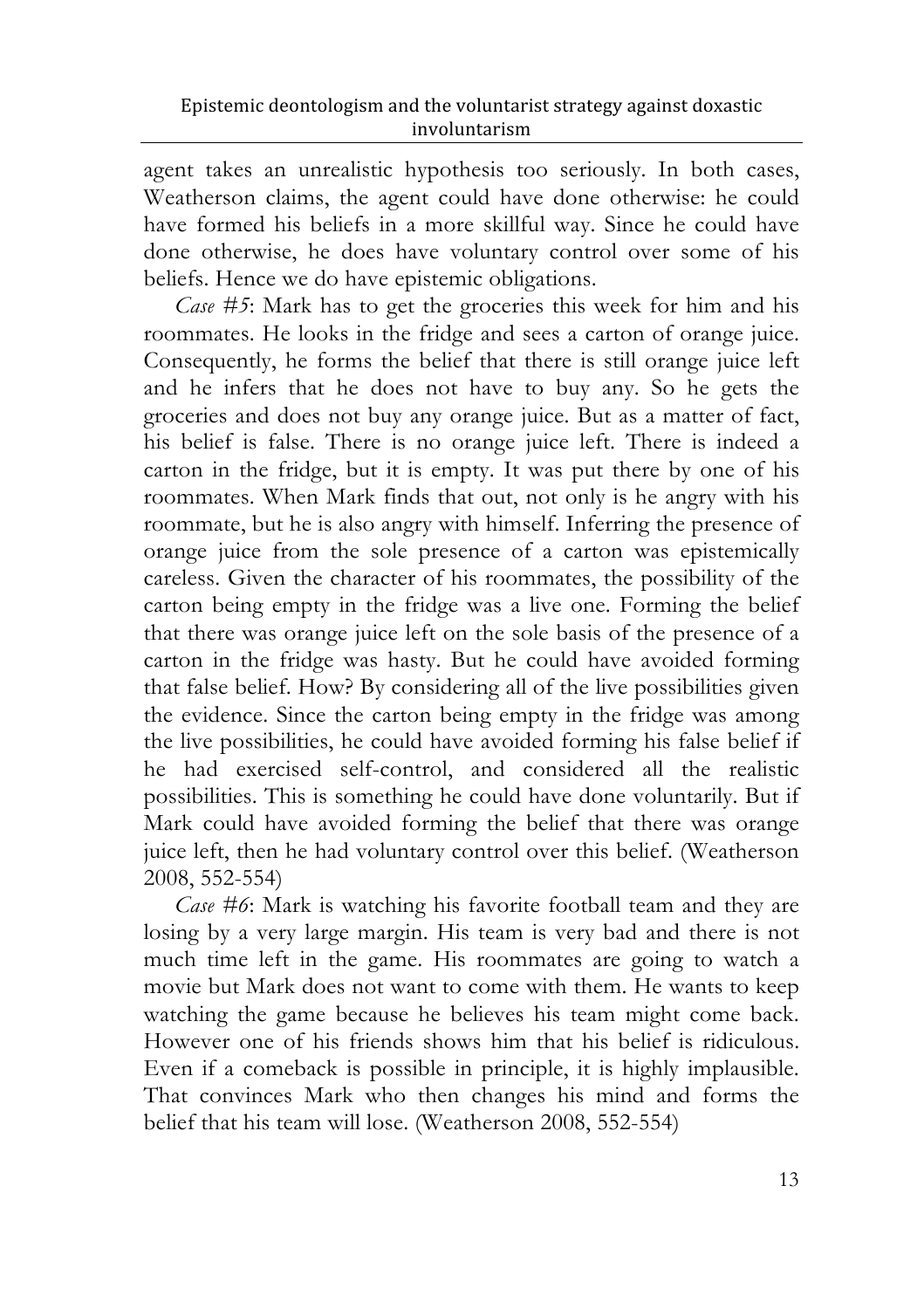agent takes an unrealistic hypothesis too seriously. In both cases, Weatherson claims, the agent could have done otherwise: he could have formed his beliefs in a more skillful way. Since he could have done otherwise, he does have voluntary control over some of his beliefs. Hence we do have epistemic obligations.

*Case #5*: Mark has to get the groceries this week for him and his roommates. He looks in the fridge and sees a carton of orange juice. Consequently, he forms the belief that there is still orange juice left and he infers that he does not have to buy any. So he gets the groceries and does not buy any orange juice. But as a matter of fact, his belief is false. There is no orange juice left. There is indeed a carton in the fridge, but it is empty. It was put there by one of his roommates. When Mark finds that out, not only is he angry with his roommate, but he is also angry with himself. Inferring the presence of orange juice from the sole presence of a carton was epistemically careless. Given the character of his roommates, the possibility of the carton being empty in the fridge was a live one. Forming the belief that there was orange juice left on the sole basis of the presence of a carton in the fridge was hasty. But he could have avoided forming that false belief. How? By considering all of the live possibilities given the evidence. Since the carton being empty in the fridge was among the live possibilities, he could have avoided forming his false belief if he had exercised self-control, and considered all the realistic possibilities. This is something he could have done voluntarily. But if Mark could have avoided forming the belief that there was orange juice left, then he had voluntary control over this belief. (Weatherson 2008, 552-554)

*Case #6*: Mark is watching his favorite football team and they are losing by a very large margin. His team is very bad and there is not much time left in the game. His roommates are going to watch a movie but Mark does not want to come with them. He wants to keep watching the game because he believes his team might come back. However one of his friends shows him that his belief is ridiculous. Even if a comeback is possible in principle, it is highly implausible. That convinces Mark who then changes his mind and forms the belief that his team will lose. (Weatherson 2008, 552-554)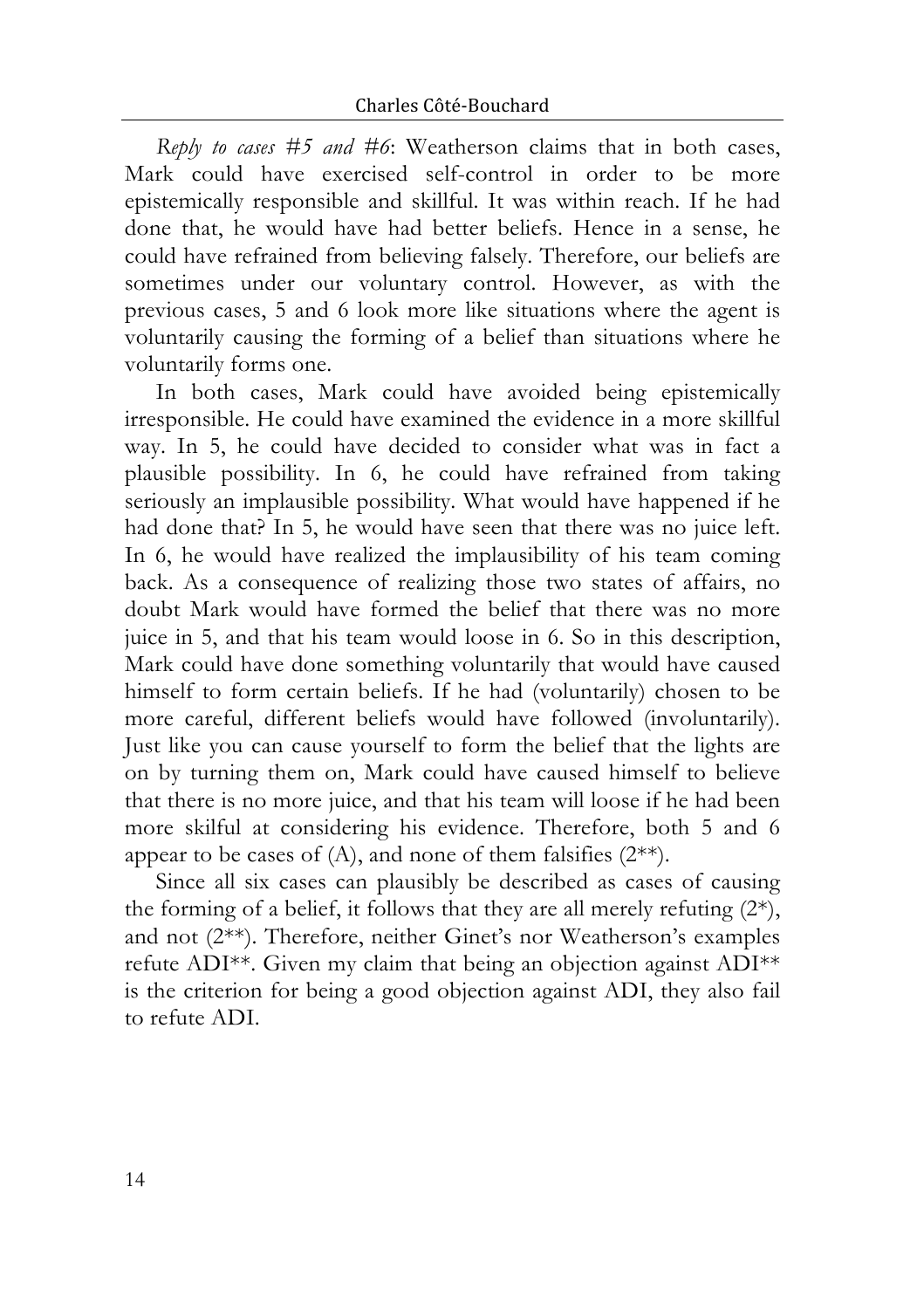*Reply to cases #5 and #6*: Weatherson claims that in both cases, Mark could have exercised self-control in order to be more epistemically responsible and skillful. It was within reach. If he had done that, he would have had better beliefs. Hence in a sense, he could have refrained from believing falsely. Therefore, our beliefs are sometimes under our voluntary control. However, as with the previous cases, 5 and 6 look more like situations where the agent is voluntarily causing the forming of a belief than situations where he voluntarily forms one.

In both cases, Mark could have avoided being epistemically irresponsible. He could have examined the evidence in a more skillful way. In 5, he could have decided to consider what was in fact a plausible possibility. In 6, he could have refrained from taking seriously an implausible possibility. What would have happened if he had done that? In 5, he would have seen that there was no juice left. In 6, he would have realized the implausibility of his team coming back. As a consequence of realizing those two states of affairs, no doubt Mark would have formed the belief that there was no more juice in 5, and that his team would loose in 6. So in this description, Mark could have done something voluntarily that would have caused himself to form certain beliefs. If he had (voluntarily) chosen to be more careful, different beliefs would have followed (involuntarily). Just like you can cause yourself to form the belief that the lights are on by turning them on, Mark could have caused himself to believe that there is no more juice, and that his team will loose if he had been more skilful at considering his evidence. Therefore, both 5 and 6 appear to be cases of  $(A)$ , and none of them falsifies  $(2^{**})$ .

Since all six cases can plausibly be described as cases of causing the forming of a belief, it follows that they are all merely refuting  $(2^*)$ , and not (2\*\*). Therefore, neither Ginet's nor Weatherson's examples refute ADI\*\*. Given my claim that being an objection against ADI\*\* is the criterion for being a good objection against ADI, they also fail to refute ADI.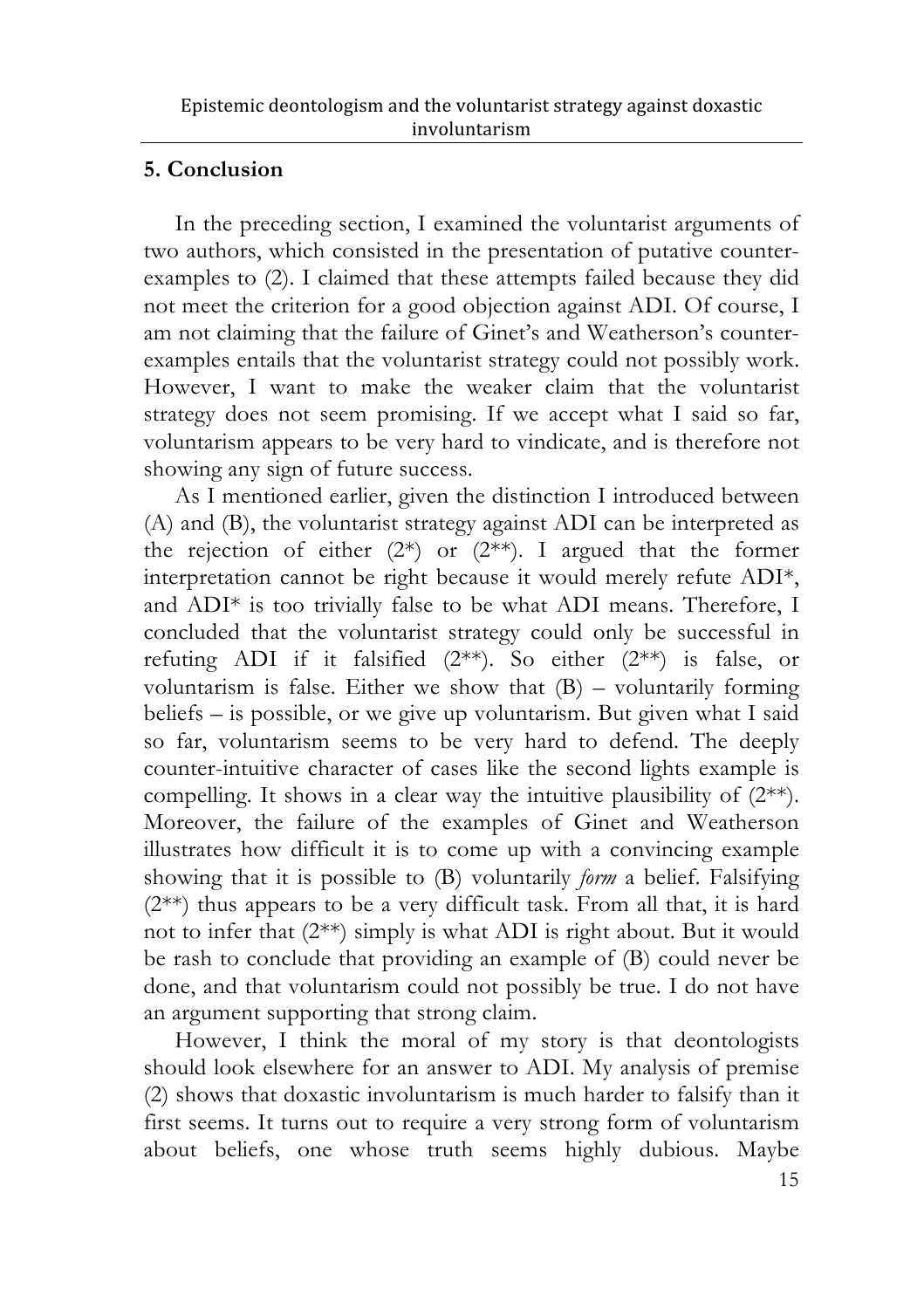## **5. Conclusion**

In the preceding section, I examined the voluntarist arguments of two authors, which consisted in the presentation of putative counterexamples to (2). I claimed that these attempts failed because they did not meet the criterion for a good objection against ADI. Of course, I am not claiming that the failure of Ginet's and Weatherson's counterexamples entails that the voluntarist strategy could not possibly work. However, I want to make the weaker claim that the voluntarist strategy does not seem promising. If we accept what I said so far, voluntarism appears to be very hard to vindicate, and is therefore not showing any sign of future success.

As I mentioned earlier, given the distinction I introduced between (A) and (B), the voluntarist strategy against ADI can be interpreted as the rejection of either  $(2^*)$  or  $(2^{**})$ . I argued that the former interpretation cannot be right because it would merely refute ADI\*, and ADI\* is too trivially false to be what ADI means. Therefore, I concluded that the voluntarist strategy could only be successful in refuting ADI if it falsified (2\*\*). So either (2\*\*) is false, or voluntarism is false. Either we show that  $(B)$  – voluntarily forming beliefs – is possible, or we give up voluntarism. But given what I said so far, voluntarism seems to be very hard to defend. The deeply counter-intuitive character of cases like the second lights example is compelling. It shows in a clear way the intuitive plausibility of (2\*\*). Moreover, the failure of the examples of Ginet and Weatherson illustrates how difficult it is to come up with a convincing example showing that it is possible to (B) voluntarily *form* a belief. Falsifying (2\*\*) thus appears to be a very difficult task. From all that, it is hard not to infer that (2\*\*) simply is what ADI is right about. But it would be rash to conclude that providing an example of (B) could never be done, and that voluntarism could not possibly be true. I do not have an argument supporting that strong claim.

However, I think the moral of my story is that deontologists should look elsewhere for an answer to ADI. My analysis of premise (2) shows that doxastic involuntarism is much harder to falsify than it first seems. It turns out to require a very strong form of voluntarism about beliefs, one whose truth seems highly dubious. Maybe